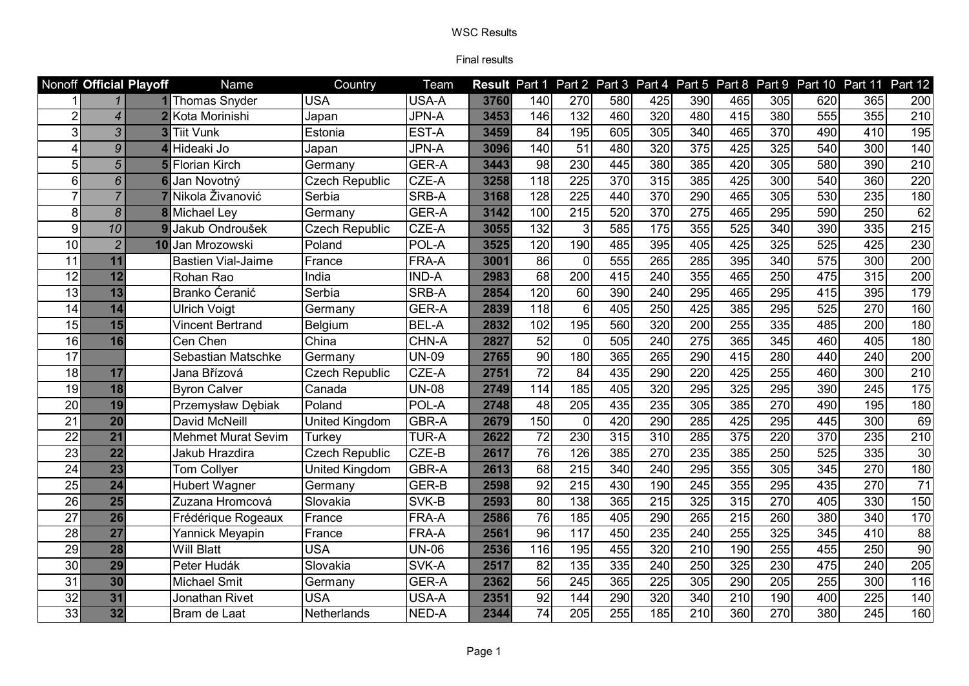|                 | Nonoff Official Playoff  |                | Name                      | Country               | Team               |      | <b>Result Part 1</b> |                  |                  |                  |                  |                  |                 | Part 2 Part 3 Part 4 Part 5 Part 8 Part 9 Part 10 Part 11 |                  | Part 12           |
|-----------------|--------------------------|----------------|---------------------------|-----------------------|--------------------|------|----------------------|------------------|------------------|------------------|------------------|------------------|-----------------|-----------------------------------------------------------|------------------|-------------------|
|                 |                          |                | 1 Thomas Snyder           | <b>USA</b>            | USA-A              | 3760 | 140                  | 270              | 580              | 425              | 390              | 465              | 305             | 620                                                       | 365              | 200               |
| $\overline{2}$  | $\overline{\mathcal{A}}$ | $\overline{2}$ | Kota Morinishi            | Japan                 | <b>JPN-A</b>       | 3453 | 146                  | 132              | 460              | 320              | 480              | 415              | 380             | 555                                                       | 355              | 210               |
| 3               | 3                        |                | <b>3</b> Tiit Vunk        | Estonia               | EST-A              | 3459 | 84                   | 195              | 605              | 305              | 340              | 465              | 370             | 490                                                       | 410              | 195               |
| 4               | 9                        |                | Hideaki Jo                | Japan                 | <b>JPN-A</b>       | 3096 | 140                  | 51               | 480              | 320              | 375              | 425              | 325             | 540                                                       | 300              | 140               |
| 5               | 5                        |                | <b>Florian Kirch</b>      | Germany               | GER-A              | 3443 | 98                   | 230              | 445              | 380              | 385              | 420              | 305             | 580                                                       | 390              | $\overline{210}$  |
| 6               | 6                        |                | Jan Novotný               | <b>Czech Republic</b> | CZE-A              | 3258 | 118                  | 225              | 370              | 315              | 385              | 425              | 300             | 540                                                       | 360              | 220               |
| 7               | $\overline{7}$           |                | Nikola Živanović          | Serbia                | SRB-A              | 3168 | 128                  | $\overline{225}$ | 440              | 370              | 290              | 465              | 305             | 530                                                       | 235              | 180               |
| 8               | $\boldsymbol{\delta}$    |                | <b>8</b> Michael Ley      | Germany               | <b>GER-A</b>       | 3142 | 100                  | 215              | 520              | 370              | 275              | 465              | 295             | 590                                                       | 250              | 62                |
| 9               | 10                       | 9              | Jakub Ondroušek           | <b>Czech Republic</b> | CZE-A              | 3055 | 132                  | 3                | 585              | 175              | 355              | 525              | 340             | 390                                                       | 335              | 215               |
| 10              | $\overline{2}$           | 10             | Jan Mrozowski             | Poland                | POL-A              | 3525 | 120                  | 190              | 485              | 395              | 405              | 425              | 325             | 525                                                       | 425              | 230               |
| 11              | 11                       |                | <b>Bastien Vial-Jaime</b> | France                | FRA-A              | 3001 | 86                   | $\Omega$         | 555              | 265              | 285              | 395              | 340             | $\overline{575}$                                          | $\overline{300}$ | 200               |
| $\overline{12}$ | $\overline{12}$          |                | Rohan Rao                 | India                 | <b>IND-A</b>       | 2983 | 68                   | 200              | $\overline{415}$ | 240              | 355              | 465              | 250             | 475                                                       | 315              | 200               |
| $\overline{13}$ | 13                       |                | Branko Ćeranić            | Serbia                | SRB-A              | 2854 | 120                  | 60               | 390              | 240              | 295              | 465              | 295             | 415                                                       | 395              | 179               |
| 14              | 14                       |                | <b>Ulrich Voigt</b>       | Germany               | GER-A              | 2839 | 118                  | 6                | 405              | 250              | 425              | 385              | 295             | 525                                                       | 270              | 160               |
| 15              | 15                       |                | Vincent Bertrand          | Belgium               | <b>BEL-A</b>       | 2832 | 102                  | 195              | 560              | 320              | 200              | 255              | $\frac{1}{335}$ | 485                                                       | 200              | 180               |
| 16              | 16                       |                | Cen Chen                  | China                 | CHN-A              | 2827 | $\overline{52}$      | $\Omega$         | 505              | 240              | 275              | 365              | 345             | 460                                                       | 405              | 180               |
| $\overline{17}$ |                          |                | Sebastian Matschke        | Germany               | <b>UN-09</b>       | 2765 | $\overline{90}$      | 180              | 365              | 265              | 290              | 415              | 280             | 440                                                       | 240              | 200               |
| $\overline{18}$ | 17                       |                | Jana Břízová              | <b>Czech Republic</b> | CZE-A              | 2751 | $\overline{72}$      | $\overline{84}$  | 435              | 290              | 220              | 425              | 255             | 460                                                       | 300              | $\overline{210}$  |
| 19              | 18                       |                | <b>Byron Calver</b>       | Canada                | <b>UN-08</b>       | 2749 | 114                  | 185              | 405              | 320              | 295              | 325              | 295             | 390                                                       | 245              | $\frac{175}{175}$ |
| 20              | 19                       |                | Przemysław Dębiak         | Poland                | POL-A              | 2748 | 48                   | 205              | 435              | 235              | 305              | 385              | 270             | 490                                                       | 195              | 180               |
| 21              | $\overline{20}$          |                | David McNeill             | United Kingdom        | GBR-A              | 2679 | 150                  | $\Omega$         | 420              | 290              | 285              | 425              | 295             | 445                                                       | 300              | 69                |
| $\overline{22}$ | $\overline{21}$          |                | <b>Mehmet Murat Sevim</b> | Turkey                | <b>TUR-A</b>       | 2622 | $\overline{72}$      | 230              | 315              | 310              | $\overline{285}$ | 375              | 220             | 370                                                       | 235              | 210               |
| 23              | $\overline{22}$          |                | Jakub Hrazdira            | <b>Czech Republic</b> | CZE-B              | 2617 | 76                   | 126              | 385              | 270              | 235              | 385              | 250             | 525                                                       | 335              | 30                |
| $\overline{24}$ | $\overline{23}$          |                | <b>Tom Collyer</b>        | United Kingdom        | <b>GBR-A</b>       | 2613 | 68                   | $\overline{215}$ | 340              | 240              | 295              | 355              | 305             | 345                                                       | 270              | 180               |
| 25              | 24                       |                | <b>Hubert Wagner</b>      | Germany               | <b>GER-B</b>       | 2598 | 92                   | 215              | 430              | 190              | 245              | 355              | 295             | 435                                                       | 270              | $\overline{71}$   |
| 26              | 25                       |                | Zuzana Hromcová           | Slovakia              | SVK-B              | 2593 | $\overline{80}$      | 138              | 365              | $\overline{215}$ | 325              | $\overline{315}$ | 270             | 405                                                       | 330              | 150               |
| 27              | 26                       |                | Frédérique Rogeaux        | France                | FRA-A              | 2586 | $\overline{76}$      | 185              | 405              | 290              | 265              | $\overline{215}$ | 260             | 380                                                       | 340              | 170               |
| 28              | $\overline{27}$          |                | Yannick Meyapin           | France                | FRA-A              | 2561 | $\overline{96}$      | 117              | 450              | 235              | 240              | 255              | 325             | 345                                                       | 410              | 88                |
| 29              | 28                       |                | <b>Will Blatt</b>         | <b>USA</b>            | $\overline{UN-06}$ | 2536 | 116                  | 195              | 455              | 320              | $\overline{210}$ | 190              | 255             | 455                                                       | 250              | 90                |
| 30              | 29                       |                | Peter Hudák               | Slovakia              | SVK-A              | 2517 | 82                   | 135              | 335              | 240              | 250              | 325              | 230             | 475                                                       | 240              | 205               |
| 31              | 30                       |                | <b>Michael Smit</b>       | Germany               | GER-A              | 2362 | 56                   | 245              | 365              | 225              | 305              | 290              | 205             | 255                                                       | 300              | 116               |
| 32              | 31                       |                | Jonathan Rivet            | <b>USA</b>            | USA-A              | 2351 | 92                   | 144              | 290              | 320              | 340              | 210              | 190             | 400                                                       | 225              | 140               |
| $\overline{33}$ | 32                       |                | Bram de Laat              | Netherlands           | NED-A              | 2344 | $\overline{74}$      | 205              | 255              | 185              | 210              | 360              | 270             | 380                                                       | 245              | 160               |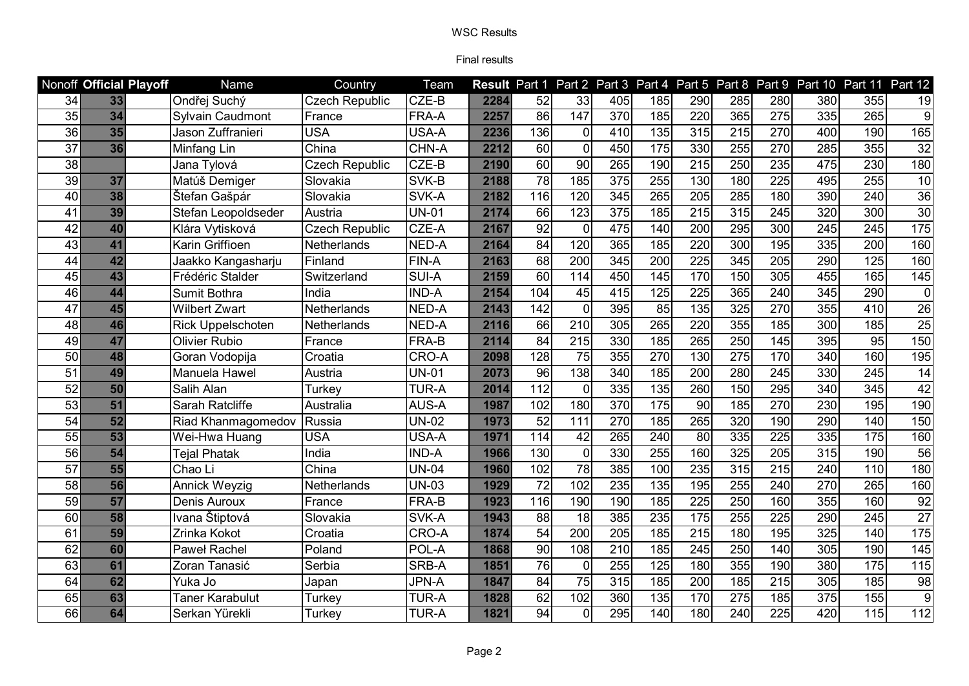|                 | Nonoff Official Playoff | Name                 | Country               | Team         |      |                 |                  |                  |                  |                  |                  |                  | Result Part 1 Part 2 Part 3 Part 4 Part 5 Part 8 Part 9 Part 10 | Part 11          | Part 12          |
|-----------------|-------------------------|----------------------|-----------------------|--------------|------|-----------------|------------------|------------------|------------------|------------------|------------------|------------------|-----------------------------------------------------------------|------------------|------------------|
| 34              | 33                      | Ondřej Suchý         | <b>Czech Republic</b> | CZE-B        | 2284 | 52              | 33               | 405              | 185              | 290              | 285              | 280              | 380                                                             | 355              | 19               |
| $\overline{35}$ | $\overline{34}$         | Sylvain Caudmont     | France                | FRA-A        | 2257 | 86              | 147              | 370              | 185              | 220              | 365              | 275              | 335                                                             | 265              | $\overline{9}$   |
| 36              | 35                      | Jason Zuffranieri    | <b>USA</b>            | USA-A        | 2236 | 136             | $\mathbf 0$      | 410              | 135              | 315              | 215              | 270              | 400                                                             | 190              | 165              |
| 37              | 36                      | Minfang Lin          | China                 | CHN-A        | 2212 | 60              | $\mathbf 0$      | 450              | 175              | 330              | 255              | 270              | 285                                                             | 355              | 32               |
| 38              |                         | Jana Tylová          | <b>Czech Republic</b> | CZE-B        | 2190 | $\overline{60}$ | $\overline{90}$  | 265              | 190              | 215              | 250              | 235              | 475                                                             | 230              | 180              |
| 39              | 37                      | Matúš Demiger        | Slovakia              | SVK-B        | 2188 | $\overline{78}$ | 185              | 375              | 255              | 130              | 180              | $\overline{225}$ | 495                                                             | 255              | $\overline{10}$  |
| 40              | 38                      | Štefan Gašpár        | Slovakia              | SVK-A        | 2182 | 116             | 120              | 345              | 265              | 205              | 285              | 180              | 390                                                             | 240              | 36               |
| 41              | 39                      | Stefan Leopoldseder  | Austria               | <b>UN-01</b> | 2174 | 66              | 123              | 375              | 185              | 215              | 315              | 245              | 320                                                             | 300              | 30               |
| 42              | 40                      | Klára Vytisková      | <b>Czech Republic</b> | CZE-A        | 2167 | 92              | $\mathbf 0$      | 475              | 140              | 200              | 295              | 300              | 245                                                             | 245              | 175              |
| 43              | 41                      | Karin Griffioen      | Netherlands           | NED-A        | 2164 | 84              | 120              | 365              | 185              | 220              | 300              | 195              | 335                                                             | 200              | 160              |
| 44              | 42                      | Jaakko Kangasharju   | Finland               | FIN-A        | 2163 | $\overline{68}$ | 200              | 345              | 200              | 225              | $\overline{345}$ | 205              | 290                                                             | 125              | 160              |
| 45              | 43                      | Frédéric Stalder     | Switzerland           | SUI-A        | 2159 | $\overline{60}$ | 114              | 450              | 145              | 170              | 150              | 305              | 455                                                             | 165              | 145              |
| 46              | 44                      | Sumit Bothra         | India                 | <b>IND-A</b> | 2154 | 104             | 45               | 415              | $\overline{125}$ | 225              | 365              | 240              | 345                                                             | 290              | $\overline{0}$   |
| 47              | 45                      | <b>Wilbert Zwart</b> | Netherlands           | NED-A        | 2143 | 142             | $\Omega$         | 395              | 85               | 135              | 325              | 270              | 355                                                             | 410              | $\overline{26}$  |
| 48              | 46                      | Rick Uppelschoten    | Netherlands           | NED-A        | 2116 | 66              | $\overline{210}$ | 305              | 265              | 220              | 355              | 185              | 300                                                             | 185              | $\overline{25}$  |
| 49              | 47                      | <b>Olivier Rubio</b> | France                | FRA-B        | 2114 | 84              | 215              | 330              | 185              | 265              | 250              | 145              | 395                                                             | 95               | 150              |
| 50              | 48                      | Goran Vodopija       | Croatia               | CRO-A        | 2098 | 128             | 75               | 355              | 270              | 130              | $\overline{275}$ | 170              | 340                                                             | 160              | 195              |
| $\overline{51}$ | 49                      | Manuela Hawel        | Austria               | <b>UN-01</b> | 2073 | $\overline{96}$ | 138              | 340              | 185              | 200              | 280              | 245              | 330                                                             | $\overline{245}$ | 14               |
| 52              | 50                      | Salih Alan           | Turkey                | <b>TUR-A</b> | 2014 | 112             | $\Omega$         | 335              | 135              | 260              | 150              | 295              | 340                                                             | 345              | 42               |
| 53              | 51                      | Sarah Ratcliffe      | Australia             | AUS-A        | 1987 | 102             | 180              | 370              | 175              | 90               | 185              | 270              | 230                                                             | 195              | 190              |
| 54              | $\overline{52}$         | Riad Khanmagomedov   | Russia                | <b>UN-02</b> | 1973 | 52              | 111              | 270              | 185              | 265              | 320              | 190              | 290                                                             | 140              | 150              |
| $\overline{55}$ | 53                      | Wei-Hwa Huang        | USA                   | USA-A        | 1971 | 114             | 42               | $\overline{265}$ | 240              | 80               | 335              | 225              | 335                                                             | 175              | 160              |
| 56              | 54                      | Tejal Phatak         | India                 | <b>IND-A</b> | 1966 | 130             | $\mathbf 0$      | 330              | 255              | 160              | 325              | 205              | $\overline{315}$                                                | 190              | 56               |
| $\overline{57}$ | $\overline{55}$         | Chao Li              | China                 | $UN-04$      | 1960 | 102             | 78               | 385              | 100              | 235              | 315              | $\overline{215}$ | 240                                                             | 110              | 180              |
| 58              | 56                      | <b>Annick Weyzig</b> | Netherlands           | <b>UN-03</b> | 1929 | 72              | 102              | 235              | 135              | 195              | 255              | 240              | 270                                                             | 265              | 160              |
| 59              | 57                      | Denis Auroux         | France                | FRA-B        | 1923 | 116             | 190              | 190              | 185              | 225              | 250              | 160              | 355                                                             | 160              | 92               |
| 60              | 58                      | Ivana Štiptová       | Slovakia              | SVK-A        | 1943 | 88              | 18               | 385              | 235              | 175              | 255              | $\overline{225}$ | 290                                                             | $\overline{245}$ | $\overline{27}$  |
| 61              | 59                      | Zrinka Kokot         | Croatia               | CRO-A        | 1874 | $\overline{54}$ | 200              | 205              | 185              | $\overline{215}$ | 180              | 195              | 325                                                             | 140              | 175              |
| 62              | 60                      | <b>Paweł Rachel</b>  | Poland                | POL-A        | 1868 | 90              | 108              | $\overline{210}$ | 185              | 245              | 250              | 140              | 305                                                             | 190              | $\overline{145}$ |
| 63              | 61                      | Zoran Tanasić        | Serbia                | SRB-A        | 1851 | 76              | $\Omega$         | 255              | 125              | 180              | 355              | 190              | 380                                                             | 175              | 115              |
| 64              | 62                      | Yuka Jo              | Japan                 | JPN-A        | 1847 | 84              | 75               | 315              | 185              | 200              | 185              | 215              | 305                                                             | 185              | 98               |
| 65              | 63                      | Taner Karabulut      | Turkey                | <b>TUR-A</b> | 1828 | 62              | 102              | 360              | 135              | 170              | $\overline{275}$ | 185              | $\overline{375}$                                                | 155              | $\boldsymbol{9}$ |
| 66              | 64                      | Serkan Yürekli       | Turkey                | <b>TUR-A</b> | 1821 | $\overline{94}$ | $\Omega$         | 295              | 140              | 180              | 240              | 225              | 420                                                             | 115              | $\overline{112}$ |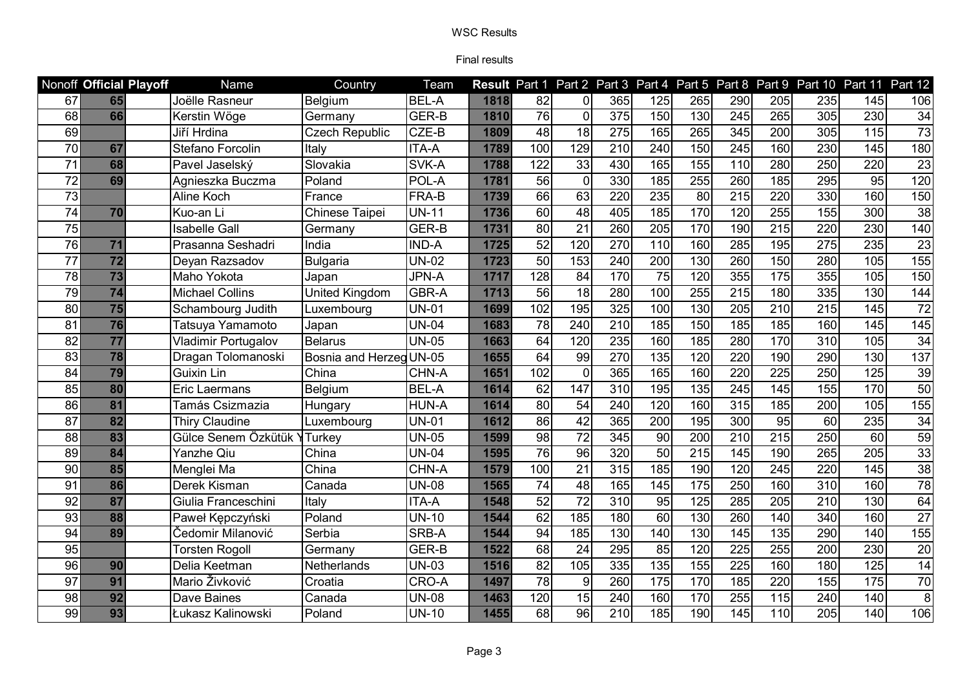|                 | Nonoff Official Playoff | Name                       | Country                 | Team         |      |                 |                 |                  |                  |                  |                  |     |     | Result Part 1 Part 2 Part 3 Part 4 Part 5 Part 8 Part 9 Part 10 Part 11 Part 12 |                 |
|-----------------|-------------------------|----------------------------|-------------------------|--------------|------|-----------------|-----------------|------------------|------------------|------------------|------------------|-----|-----|---------------------------------------------------------------------------------|-----------------|
| 67              | 65                      | Joëlle Rasneur             | Belgium                 | <b>BEL-A</b> | 1818 | 82              | $\Omega$        | 365              | 125              | 265              | 290              | 205 | 235 | 145                                                                             | 106             |
| 68              | 66                      | Kerstin Wöge               | Germany                 | GER-B        | 1810 | $\overline{76}$ | $\mathbf{0}$    | $\overline{375}$ | 150              | 130              | 245              | 265 | 305 | 230                                                                             | 34              |
| 69              |                         | Jiří Hrdina                | <b>Czech Republic</b>   | CZE-B        | 1809 | $\overline{48}$ | $\overline{18}$ | $\overline{275}$ | 165              | 265              | 345              | 200 | 305 | 115                                                                             | $\overline{73}$ |
| 70              | 67                      | Stefano Forcolin           | Italy                   | <b>ITA-A</b> | 1789 | 100             | 129             | 210              | 240              | 150              | 245              | 160 | 230 | 145                                                                             | 180             |
| $\overline{71}$ | 68                      | Pavel Jaselský             | Slovakia                | SVK-A        | 1788 | 122             | 33              | 430              | 165              | 155              | 110              | 280 | 250 | 220                                                                             | $\overline{23}$ |
| $\overline{72}$ | 69                      | Agnieszka Buczma           | Poland                  | POL-A        | 1781 | 56              | $\mathbf 0$     | 330              | 185              | 255              | 260              | 185 | 295 | 95                                                                              | 120             |
| $\overline{73}$ |                         | Aline Koch                 | France                  | FRA-B        | 1739 | 66              | 63              | 220              | 235              | 80               | $\overline{215}$ | 220 | 330 | 160                                                                             | 150             |
| $\overline{74}$ | 70                      | Kuo-an Li                  | Chinese Taipei          | <b>UN-11</b> | 1736 | 60              | 48              | 405              | 185              | 170              | 120              | 255 | 155 | 300                                                                             | $\overline{38}$ |
| $\overline{75}$ |                         | <b>Isabelle Gall</b>       | Germany                 | GER-B        | 1731 | $\overline{80}$ | $\overline{21}$ | 260              | $\overline{205}$ | 170              | 190              | 215 | 220 | 230                                                                             | 140             |
| 76              | 71                      | Prasanna Seshadri          | India                   | <b>IND-A</b> | 1725 | 52              | 120             | 270              | 110              | 160              | 285              | 195 | 275 | 235                                                                             | $\overline{23}$ |
| 77              | $\overline{72}$         | Deyan Razsadov             | <b>Bulgaria</b>         | <b>UN-02</b> | 1723 | $\overline{50}$ | 153             | 240              | 200              | 130              | 260              | 150 | 280 | 105                                                                             | 155             |
| 78              | $\overline{73}$         | Maho Yokota                | Japan                   | <b>JPN-A</b> | 1717 | 128             | 84              | 170              | 75               | 120              | 355              | 175 | 355 | 105                                                                             | 150             |
| 79              | $\overline{74}$         | <b>Michael Collins</b>     | <b>United Kingdom</b>   | GBR-A        | 1713 | 56              | 18              | 280              | 100              | 255              | $\overline{215}$ | 180 | 335 | 130                                                                             | 144             |
| 80              | 75                      | Schambourg Judith          | Luxembourg              | <b>UN-01</b> | 1699 | 102             | 195             | 325              | 100              | 130              | $\overline{205}$ | 210 | 215 | 145                                                                             | $\overline{72}$ |
| $\overline{81}$ | 76                      | Tatsuya Yamamoto           | Japan                   | <b>UN-04</b> | 1683 | $\overline{78}$ | 240             | $\overline{210}$ | 185              | 150              | 185              | 185 | 160 | 145                                                                             | 145             |
| 82              | $\overline{77}$         | <b>Vladimir Portugalov</b> | <b>Belarus</b>          | <b>UN-05</b> | 1663 | 64              | 120             | 235              | 160              | 185              | 280              | 170 | 310 | 105                                                                             | $\overline{34}$ |
| 83              | 78                      | Dragan Tolomanoski         | Bosnia and Herzeg UN-05 |              | 1655 | 64              | 99              | 270              | 135              | 120              | 220              | 190 | 290 | 130                                                                             | 137             |
| 84              | 79                      | <b>Guixin Lin</b>          | China                   | CHN-A        | 1651 | 102             | $\Omega$        | 365              | 165              | 160              | 220              | 225 | 250 | 125                                                                             | 39              |
| 85              | 80                      | Eric Laermans              | Belgium                 | <b>BEL-A</b> | 1614 | 62              | 147             | $\overline{310}$ | 195              | 135              | $\overline{245}$ | 145 | 155 | 170                                                                             | 50              |
| 86              | 81                      | Tamás Csizmazia            | Hungary                 | <b>HUN-A</b> | 1614 | 80              | 54              | 240              | 120              | 160              | 315              | 185 | 200 | 105                                                                             | 155             |
| $\overline{87}$ | 82                      | Thiry Claudine             | Luxembourg              | <b>UN-01</b> | 1612 | 86              | $\overline{42}$ | 365              | 200              | 195              | 300              | 95  | 60  | 235                                                                             | 34              |
| 88              | 83                      | Gülce Senem Özkütük Y      | Turkey                  | <b>UN-05</b> | 1599 | $\overline{8}$  | $\overline{72}$ | $\frac{1}{345}$  | 90               | $\overline{200}$ | $\overline{210}$ | 215 | 250 | 60                                                                              | 59              |
| 89              | 84                      | Yanzhe Qiu                 | China                   | <b>UN-04</b> | 1595 | 76              | 96              | 320              | 50               | 215              | 145              | 190 | 265 | $\overline{205}$                                                                | 33              |
| 90              | 85                      | Menglei Ma                 | China                   | CHN-A        | 1579 | 100             | 21              | 315              | 185              | 190              | 120              | 245 | 220 | 145                                                                             | $\overline{38}$ |
| 91              | 86                      | Derek Kisman               | Canada                  | <b>UN-08</b> | 1565 | 74              | 48              | 165              | 145              | 175              | 250              | 160 | 310 | 160                                                                             | $\overline{78}$ |
| 92              | 87                      | Giulia Franceschini        | Italy                   | <b>ITA-A</b> | 1548 | $\overline{52}$ | $\overline{72}$ | $\overline{310}$ | 95               | 125              | 285              | 205 | 210 | 130                                                                             | 64              |
| $\overline{93}$ | 88                      | Paweł Kępczyński           | Poland                  | <b>UN-10</b> | 1544 | 62              | 185             | 180              | 60               | 130              | 260              | 140 | 340 | 160                                                                             | $\overline{27}$ |
| $\overline{94}$ | 89                      | Čedomir Milanović          | Serbia                  | SRB-A        | 1544 | $\overline{94}$ | 185             | 130              | 140              | 130              | 145              | 135 | 290 | 140                                                                             | 155             |
| 95              |                         | Torsten Rogoll             | Germany                 | GER-B        | 1522 | 68              | 24              | 295              | 85               | 120              | 225              | 255 | 200 | 230                                                                             | 20              |
| 96              | 90                      | Delia Keetman              | Netherlands             | <b>UN-03</b> | 1516 | 82              | 105             | 335              | 135              | 155              | 225              | 160 | 180 | 125                                                                             | $\overline{14}$ |
| 97              | 91                      | Mario Živković             | Croatia                 | CRO-A        | 1497 | $\overline{78}$ | 9               | 260              | 175              | 170              | 185              | 220 | 155 | 175                                                                             | 70              |
| 98              | 92                      | Dave Baines                | Canada                  | <b>UN-08</b> | 1463 | 120             | 15              | 240              | 160              | 170              | 255              | 115 | 240 | 140                                                                             | 8               |
| 99              | 93                      | Łukasz Kalinowski          | Poland                  | <b>UN-10</b> | 1455 | $\overline{68}$ | 96              | 210              | 185              | 190              | 145              | 110 | 205 | 140                                                                             | 106             |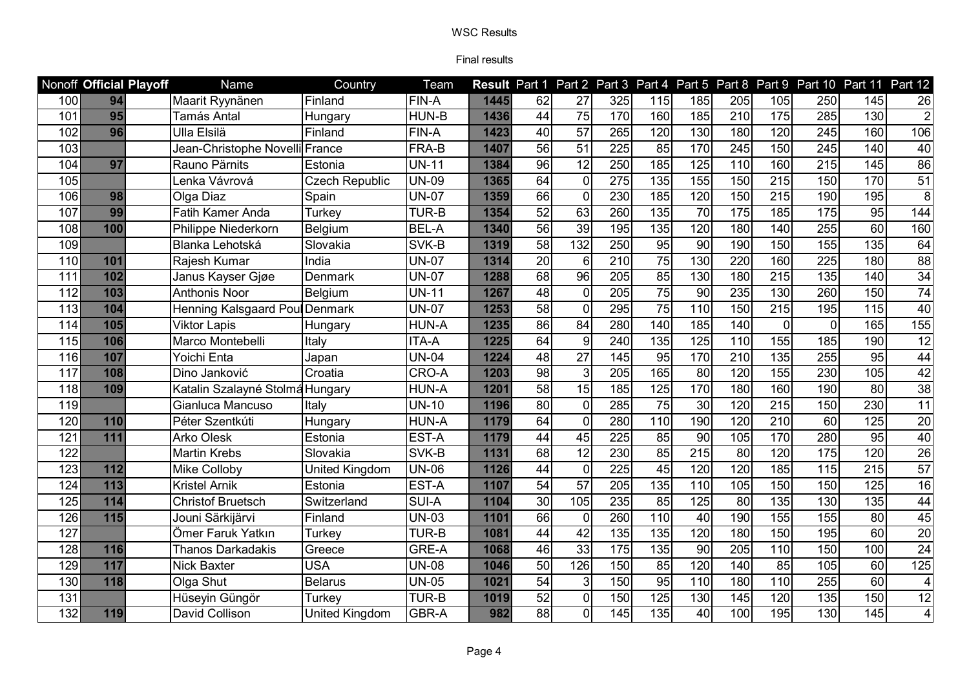|     | Nonoff Official Playoff | Name                            | Country               | Team         |      |                 |                 |                  |     |                  |                   |                   |                   | Result Part 1 Part 2 Part 3 Part 4 Part 5 Part 8 Part 9 Part 10 Part 11 Part 12 |                         |
|-----|-------------------------|---------------------------------|-----------------------|--------------|------|-----------------|-----------------|------------------|-----|------------------|-------------------|-------------------|-------------------|---------------------------------------------------------------------------------|-------------------------|
| 100 | 94                      | Maarit Ryynänen                 | Finland               | <b>FIN-A</b> | 1445 | 62              | 27              | 325              | 115 | 185              | 205               | 105               | 250               | 145                                                                             | 26                      |
| 101 | 95                      | Tamás Antal                     | Hungary               | HUN-B        | 1436 | 44              | $\overline{75}$ | 170              | 160 | 185              | $\overline{210}$  | $\frac{175}{175}$ | 285               | 130                                                                             | $\overline{2}$          |
| 102 | 96                      | Ulla Elsilä                     | Finland               | FIN-A        | 1423 | 40              | $\overline{57}$ | 265              | 120 | 130              | 180               | 120               | 245               | 160                                                                             | 106                     |
| 103 |                         | Jean-Christophe Novelli France  |                       | FRA-B        | 1407 | 56              | 51              | 225              | 85  | 170              | 245               | 150               | 245               | 140                                                                             | 40                      |
| 104 | 97                      | Rauno Pärnits                   | Estonia               | <b>UN-11</b> | 1384 | 96              | $\overline{12}$ | 250              | 185 | 125              | 110               | 160               | $\overline{215}$  | 145                                                                             | 86                      |
| 105 |                         | Lenka Vávrová                   | <b>Czech Republic</b> | <b>UN-09</b> | 1365 | 64              | $\mathbf{0}$    | 275              | 135 | 155              | 150               | 215               | 150               | 170                                                                             | $\overline{51}$         |
| 106 | 98                      | Olga Diaz                       | Spain                 | <b>UN-07</b> | 1359 | 66              | $\mathbf 0$     | 230              | 185 | 120              | 150               | $\overline{215}$  | 190               | 195                                                                             | $\overline{8}$          |
| 107 | 99                      | Fatih Kamer Anda                | Turkey                | TUR-B        | 1354 | 52              | 63              | 260              | 135 | 70               | $\frac{175}{175}$ | 185               | 175               | 95                                                                              | 144                     |
| 108 | 100                     | Philippe Niederkorn             | Belgium               | <b>BEL-A</b> | 1340 | 56              | 39              | 195              | 135 | 120              | 180               | 140               | 255               | 60                                                                              | 160                     |
| 109 |                         | Blanka Lehotská                 | Slovakia              | SVK-B        | 1319 | 58              | 132             | 250              | 95  | 90               | 190               | 150               | 155               | 135                                                                             | 64                      |
| 110 | 101                     | Rajesh Kumar                    | India                 | <b>UN-07</b> | 1314 | 20              | 6               | $\overline{210}$ | 75  | 130              | 220               | 160               | $\overline{225}$  | 180                                                                             | 88                      |
| 111 | 102                     | Janus Kayser Gjøe               | <b>Denmark</b>        | <b>UN-07</b> | 1288 | 68              | $\overline{96}$ | $\overline{205}$ | 85  | 130              | 180               | $\overline{215}$  | $\overline{135}$  | 140                                                                             | 34                      |
| 112 | 103                     | <b>Anthonis Noor</b>            | Belgium               | <b>UN-11</b> | 1267 | 48              | $\overline{0}$  | 205              | 75  | $\overline{90}$  | 235               | 130               | 260               | 150                                                                             | $\overline{74}$         |
| 113 | 104                     | Henning Kalsgaard Poul Denmark  |                       | <b>UN-07</b> | 1253 | 58              | $\mathbf{0}$    | 295              | 75  | 110              | 150               | 215               | 195               | 115                                                                             | $\overline{40}$         |
| 114 | 105                     | <b>Viktor Lapis</b>             | Hungary               | <b>HUN-A</b> | 1235 | 86              | $\overline{84}$ | 280              | 140 | 185              | 140               | $\mathbf 0$       | $\mathbf 0$       | 165                                                                             | 155                     |
| 115 | 106                     | Marco Montebelli                | Italy                 | ITA-A        | 1225 | 64              | 9               | 240              | 135 | 125              | 110               | 155               | 185               | 190                                                                             | $\overline{12}$         |
| 116 | 107                     | Yoichi Enta                     | Japan                 | <b>UN-04</b> | 1224 | $\overline{48}$ | $\overline{27}$ | 145              | 95  | 170              | $\overline{210}$  | 135               | 255               | $\overline{95}$                                                                 | 44                      |
| 117 | 108                     | Dino Janković                   | Croatia               | CRO-A        | 1203 | 98              | $\mathbf{3}$    | 205              | 165 | 8                | 120               | 155               | 230               | 105                                                                             | 42                      |
| 118 | 109                     | Katalin Szalayné Stolmá Hungary |                       | <b>HUN-A</b> | 1201 | 58              | 15              | 185              | 125 | 170              | 180               | 160               | 190               | 80                                                                              | $\overline{38}$         |
| 119 |                         | Gianluca Mancuso                | Italy                 | <b>UN-10</b> | 1196 | 80              | $\overline{0}$  | 285              | 75  | 30               | 120               | 215               | 150               | 230                                                                             | 11                      |
| 120 | 110                     | Péter Szentkúti                 | Hungary               | <b>HUN-A</b> | 1179 | 64              | $\mathbf{0}$    | 280              | 110 | 190              | 120               | 210               | 60                | $\frac{1}{25}$                                                                  | $\overline{20}$         |
| 121 | 111                     | <b>Arko Olesk</b>               | Estonia               | EST-A        | 1179 | $\overline{44}$ | 45              | 225              | 85  | $\overline{90}$  | 105               | 170               | 280               | $\overline{95}$                                                                 | 40                      |
| 122 |                         | <b>Martin Krebs</b>             | Slovakia              | SVK-B        | 1131 | 68              | $\overline{12}$ | 230              | 85  | $\overline{215}$ | $\overline{80}$   | 120               | $\frac{175}{175}$ | 120                                                                             | $\overline{26}$         |
| 123 | 112                     | <b>Mike Colloby</b>             | United Kingdom        | <b>UN-06</b> | 1126 | $\overline{44}$ | $\Omega$        | $\overline{225}$ | 45  | 120              | 120               | 185               | $\frac{115}{115}$ | $\overline{215}$                                                                | 57                      |
| 124 | 113                     | <b>Kristel Arnik</b>            | Estonia               | EST-A        | 1107 | 54              | $\overline{57}$ | 205              | 135 | 110              | 105               | 150               | 150               | 125                                                                             | $\overline{16}$         |
| 125 | 114                     | <b>Christof Bruetsch</b>        | Switzerland           | <b>SUI-A</b> | 1104 | 30              | 105             | 235              | 85  | 125              | $\overline{80}$   | $\overline{135}$  | 130               | $\overline{135}$                                                                | 44                      |
| 126 | 115                     | Jouni Särkijärvi                | Finland               | <b>UN-03</b> | 1101 | 66              | $\Omega$        | 260              | 110 | 40               | 190               | 155               | 155               | 80                                                                              | 45                      |
| 127 |                         | Ömer Faruk Yatkın               | Turkey                | <b>TUR-B</b> | 1081 | 44              | 42              | 135              | 135 | 120              | 180               | 150               | 195               | $\overline{60}$                                                                 | $\overline{20}$         |
| 128 | 116                     | <b>Thanos Darkadakis</b>        | Greece                | <b>GRE-A</b> | 1068 | 46              | 33              | 175              | 135 | 90               | 205               | 110               | 150               | 100                                                                             | $\overline{24}$         |
| 129 | 117                     | <b>Nick Baxter</b>              | <b>USA</b>            | <b>UN-08</b> | 1046 | 50              | 126             | 150              | 85  | 120              | 140               | 85                | 105               | 60                                                                              | 125                     |
| 130 | 118                     | Olga Shut                       | <b>Belarus</b>        | <b>UN-05</b> | 1021 | 54              | 3               | 150              | 95  | 110              | 180               | 110               | 255               | 60                                                                              | 4                       |
| 131 |                         | Hüseyin Güngör                  | Turkev                | <b>TUR-B</b> | 1019 | 52              | $\mathbf 0$     | 150              | 125 | 130              | 145               | 120               | 135               | 150                                                                             | $\overline{12}$         |
| 132 | 119                     | David Collison                  | <b>United Kingdom</b> | GBR-A        | 982  | 88              | $\Omega$        | 145              | 135 | 40               | 100               | 195               | 130               | 145                                                                             | $\overline{\mathbf{4}}$ |